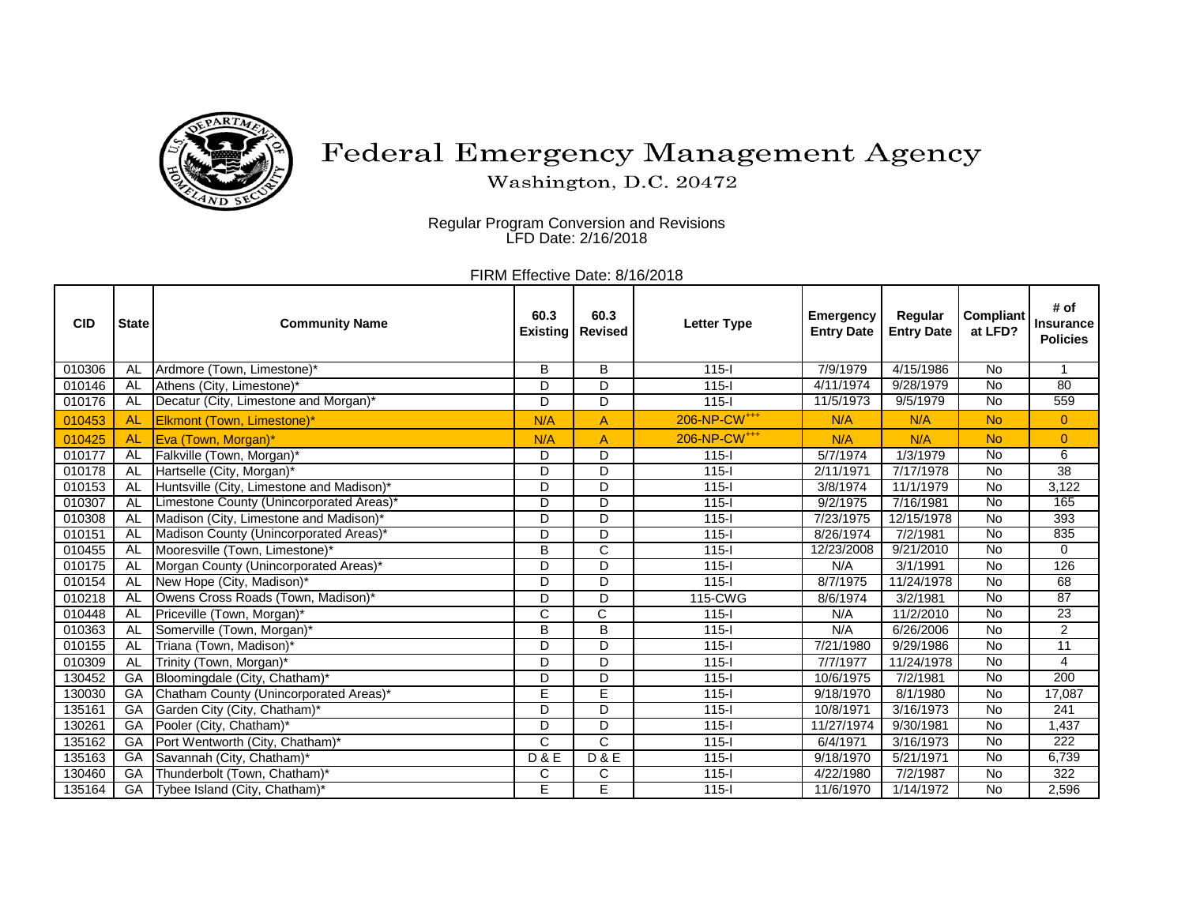

## Federal Emergency Management Agency

Washington, D.C. 20472

Regular Program Conversion and Revisions LFD Date: 2/16/2018

FIRM Effective Date: 8/16/2018

| <b>CID</b> | <b>State</b> | <b>Community Name</b>                     | 60.3<br><b>Existing</b> | 60.3<br><b>Revised</b> | <b>Letter Type</b>       | <b>Emergency</b><br><b>Entry Date</b> | Regular<br><b>Entry Date</b> | <b>Compliant</b><br>at LFD? | # of<br><b>Insurance</b><br><b>Policies</b> |
|------------|--------------|-------------------------------------------|-------------------------|------------------------|--------------------------|---------------------------------------|------------------------------|-----------------------------|---------------------------------------------|
| 010306     | AL           | Ardmore (Town, Limestone)*                | В                       | B                      | $115 -$                  | 7/9/1979                              | 4/15/1986                    | No                          |                                             |
| 010146     | <b>AL</b>    | Athens (City, Limestone)*                 | D                       | D                      | $115 -$                  | 4/11/1974                             | 9/28/1979                    | $\overline{N}$              | 80                                          |
| 010176     | AL           | Decatur (City, Limestone and Morgan)*     | D                       | D                      | $115 -$                  | 11/5/1973                             | 9/5/1979                     | $\overline{N}$              | 559                                         |
| 010453     | <b>AL</b>    | Elkmont (Town, Limestone)*                | N/A                     | A                      | 206-NP-CW <sup>+++</sup> | N/A                                   | N/A                          | <b>No</b>                   | $\overline{0}$                              |
| 010425     | <b>AL</b>    | Eva (Town, Morgan)*                       | N/A                     | A                      | 206-NP-CW <sup>+++</sup> | N/A                                   | N/A                          | <b>No</b>                   | $\overline{0}$                              |
| 010177     | <b>AL</b>    | Falkville (Town, Morgan)*                 | D                       | D                      | $115 -$                  | 5/7/1974                              | 1/3/1979                     | $\overline{N}$              | $\overline{6}$                              |
| 010178     | <b>AL</b>    | Hartselle (City, Morgan)*                 | D                       | D                      | $115 -$                  | 2/11/1971                             | 7/17/1978                    | No                          | $\overline{38}$                             |
| 010153     | <b>AL</b>    | Huntsville (City, Limestone and Madison)* | D                       | D                      | $115 -$                  | 3/8/1974                              | 11/1/1979                    | No                          | 3,122                                       |
| 010307     | <b>AL</b>    | Limestone County (Unincorporated Areas)*  | $\overline{\mathsf{D}}$ | $\overline{D}$         | $115 -$                  | 9/2/1975                              | 7/16/1981                    | <b>No</b>                   | 165                                         |
| 010308     | <b>AL</b>    | Madison (City, Limestone and Madison)*    | D                       | D                      | $115 -$                  | 7/23/1975                             | 12/15/1978                   | $\overline{N}$              | 393                                         |
| 010151     | AL           | Madison County (Unincorporated Areas)*    | D                       | D                      | $115 -$                  | 8/26/1974                             | 7/2/1981                     | $\overline{N}$              | 835                                         |
| 010455     | AL           | Mooresville (Town, Limestone)*            | B                       | $\mathsf{C}$           | $115 -$                  | 12/23/2008                            | 9/21/2010                    | <b>No</b>                   | $\mathbf 0$                                 |
| 010175     | AL           | Morgan County (Unincorporated Areas)*     | D                       | D                      | $115 -$                  | N/A                                   | 3/1/1991                     | <b>No</b>                   | 126                                         |
| 010154     | AL           | New Hope (City, Madison)*                 | D                       | D                      | $115 -$                  | 8/7/1975                              | 11/24/1978                   | <b>No</b>                   | 68                                          |
| 010218     | AL           | Owens Cross Roads (Town, Madison)*        | D                       | D                      | $115$ -CWG               | 8/6/1974                              | 3/2/1981                     | $\overline{N}$              | 87                                          |
| 010448     | <b>AL</b>    | Priceville (Town, Morgan)*                | C                       | $\overline{\text{C}}$  | $115 -$                  | N/A                                   | 11/2/2010                    | <b>No</b>                   | 23                                          |
| 010363     | AL           | Somerville (Town, Morgan)*                | B                       | $\overline{B}$         | $115 -$                  | N/A                                   | 6/26/2006                    | No                          | $\overline{2}$                              |
| 010155     | AL           | Triana (Town, Madison)*                   | D                       | D                      | $115 -$                  | 7/21/1980                             | 9/29/1986                    | $\overline{N}$              | $\overline{11}$                             |
| 010309     | <b>AL</b>    | Trinity (Town, Morgan)*                   | D                       | D                      | $115 -$                  | 7/7/1977                              | 11/24/1978                   | $\overline{N}$              | $\overline{\mathbf{4}}$                     |
| 130452     | GA           | Bloomingdale (City, Chatham)*             | D                       | D                      | $115 -$                  | 10/6/1975                             | 7/2/1981                     | No                          | 200                                         |
| 130030     | GA           | Chatham County (Unincorporated Areas)*    | E                       | Ē                      | $115 -$                  | 9/18/1970                             | 8/1/1980                     | No                          | 17,087                                      |
| 135161     | GA           | Garden City (City, Chatham)*              | D                       | D                      | $115 -$                  | 10/8/1971                             | 3/16/1973                    | $\overline{N}$              | 241                                         |
| 130261     | GA           | Pooler (City, Chatham)*                   | D                       | D                      | $115 -$                  | 11/27/1974                            | 9/30/1981                    | No                          | 1,437                                       |
| 135162     | GA           | Port Wentworth (City, Chatham)*           | Ć                       | $\overline{C}$         | $115 -$                  | $\sqrt{6}/4/1971$                     | 3/16/1973                    | No                          | $\overline{222}$                            |
| 135163     | GA           | Savannah (City, Chatham)*                 | <b>D&amp;E</b>          | <b>D&amp;E</b>         | $115 -$                  | 9/18/1970                             | 5/21/1971                    | No                          | 6,739                                       |
| 130460     | GA           | Thunderbolt (Town, Chatham)*              | C                       | $\mathsf{C}$           | $115 -$                  | 4/22/1980                             | 7/2/1987                     | No                          | 322                                         |
| 135164     | GA           | Tybee Island (City, Chatham)*             | E                       | Ē                      | $115 -$                  | 11/6/1970                             | 1/14/1972                    | <b>No</b>                   | 2,596                                       |